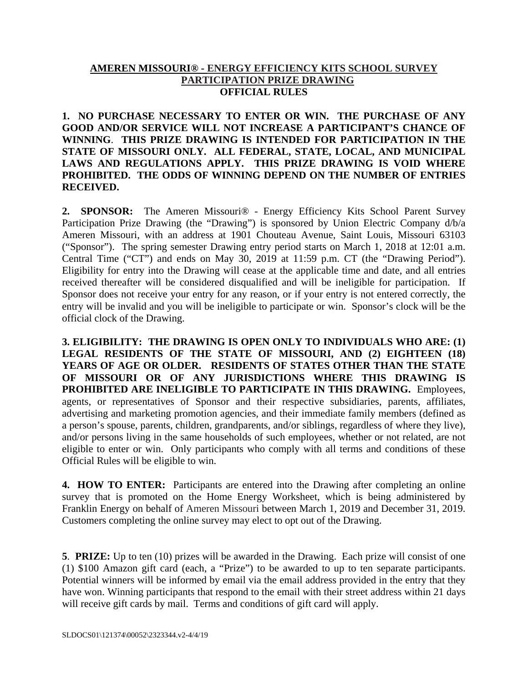## **AMEREN MISSOURI® - ENERGY EFFICIENCY KITS SCHOOL SURVEY PARTICIPATION PRIZE DRAWING OFFICIAL RULES**

**1. NO PURCHASE NECESSARY TO ENTER OR WIN. THE PURCHASE OF ANY GOOD AND/OR SERVICE WILL NOT INCREASE A PARTICIPANT'S CHANCE OF WINNING**. **THIS PRIZE DRAWING IS INTENDED FOR PARTICIPATION IN THE STATE OF MISSOURI ONLY. ALL FEDERAL, STATE, LOCAL, AND MUNICIPAL LAWS AND REGULATIONS APPLY. THIS PRIZE DRAWING IS VOID WHERE PROHIBITED. THE ODDS OF WINNING DEPEND ON THE NUMBER OF ENTRIES RECEIVED.**

**2. SPONSOR:** The Ameren Missouri® - Energy Efficiency Kits School Parent Survey Participation Prize Drawing (the "Drawing") is sponsored by Union Electric Company d/b/a Ameren Missouri, with an address at 1901 Chouteau Avenue, Saint Louis, Missouri 63103 ("Sponsor"). The spring semester Drawing entry period starts on March 1, 2018 at 12:01 a.m. Central Time ("CT") and ends on May 30, 2019 at 11:59 p.m. CT (the "Drawing Period"). Eligibility for entry into the Drawing will cease at the applicable time and date, and all entries received thereafter will be considered disqualified and will be ineligible for participation. If Sponsor does not receive your entry for any reason, or if your entry is not entered correctly, the entry will be invalid and you will be ineligible to participate or win. Sponsor's clock will be the official clock of the Drawing.

**3. ELIGIBILITY: THE DRAWING IS OPEN ONLY TO INDIVIDUALS WHO ARE: (1) LEGAL RESIDENTS OF THE STATE OF MISSOURI, AND (2) EIGHTEEN (18) YEARS OF AGE OR OLDER. RESIDENTS OF STATES OTHER THAN THE STATE OF MISSOURI OR OF ANY JURISDICTIONS WHERE THIS DRAWING IS PROHIBITED ARE INELIGIBLE TO PARTICIPATE IN THIS DRAWING.** Employees, agents, or representatives of Sponsor and their respective subsidiaries, parents, affiliates, advertising and marketing promotion agencies, and their immediate family members (defined as a person's spouse, parents, children, grandparents, and/or siblings, regardless of where they live), and/or persons living in the same households of such employees, whether or not related, are not eligible to enter or win. Only participants who comply with all terms and conditions of these Official Rules will be eligible to win.

**4. HOW TO ENTER:** Participants are entered into the Drawing after completing an online survey that is promoted on the Home Energy Worksheet, which is being administered by Franklin Energy on behalf of Ameren Missouri between March 1, 2019 and December 31, 2019. Customers completing the online survey may elect to opt out of the Drawing.

**5**. **PRIZE:** Up to ten (10) prizes will be awarded in the Drawing. Each prize will consist of one (1) \$100 Amazon gift card (each, a "Prize") to be awarded to up to ten separate participants. Potential winners will be informed by email via the email address provided in the entry that they have won. Winning participants that respond to the email with their street address within 21 days will receive gift cards by mail. Terms and conditions of gift card will apply.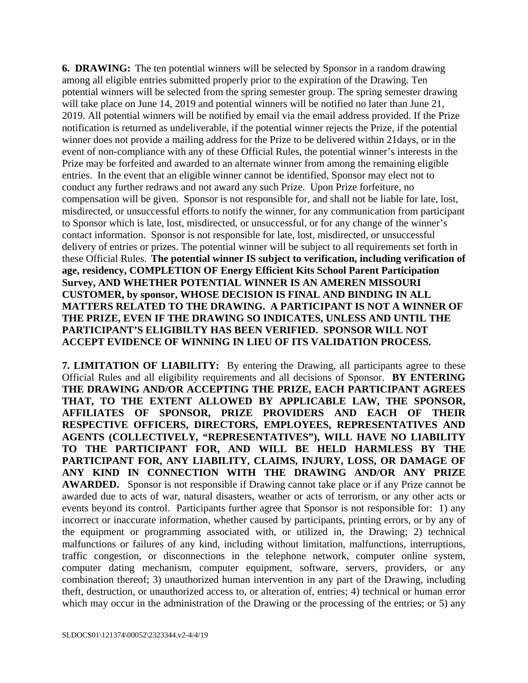**6. DRAWING:** The ten potential winners will be selected by Sponsor in a random drawing among all eligible entries submitted properly prior to the expiration of the Drawing. Ten potential winners will be selected from the spring semester group. The spring semester drawing will take place on June 14, 2019 and potential winners will be notified no later than June 21, 2019. All potential winners will be notified by email via the email address provided. If the Prize notification is returned as undeliverable, if the potential winner rejects the Prize, if the potential winner does not provide a mailing address for the Prize to be delivered within 21days, or in the event of non-compliance with any of these Official Rules, the potential winner's interests in the Prize may be forfeited and awarded to an alternate winner from among the remaining eligible entries. In the event that an eligible winner cannot be identified, Sponsor may elect not to conduct any further redraws and not award any such Prize. Upon Prize forfeiture, no compensation will be given. Sponsor is not responsible for, and shall not be liable for late, lost, misdirected, or unsuccessful efforts to notify the winner, for any communication from participant to Sponsor which is late, lost, misdirected, or unsuccessful, or for any change of the winner's contact information. Sponsor is not responsible for late, lost, misdirected, or unsuccessful delivery of entries or prizes. The potential winner will be subject to all requirements set forth in these Official Rules. **The potential winner IS subject to verification, including verification of age, residency, COMPLETION OF Energy Efficient Kits School Parent Participation Survey, AND WHETHER POTENTIAL WINNER IS AN AMEREN MISSOURI CUSTOMER, by sponsor, WHOSE DECISION IS FINAL AND BINDING IN ALL MATTERS RELATED TO THE DRAWING. A PARTICIPANT IS NOT A WINNER OF THE PRIZE, EVEN IF THE DRAWING SO INDICATES, UNLESS AND UNTIL THE PARTICIPANT'S ELIGIBILTY HAS BEEN VERIFIED. SPONSOR WILL NOT ACCEPT EVIDENCE OF WINNING IN LIEU OF ITS VALIDATION PROCESS.** 

**7. LIMITATION OF LIABILITY:** By entering the Drawing, all participants agree to these Official Rules and all eligibility requirements and all decisions of Sponsor. **BY ENTERING THE DRAWING AND/OR ACCEPTING THE PRIZE, EACH PARTICIPANT AGREES THAT, TO THE EXTENT ALLOWED BY APPLICABLE LAW, THE SPONSOR, AFFILIATES OF SPONSOR, PRIZE PROVIDERS AND EACH OF THEIR RESPECTIVE OFFICERS, DIRECTORS, EMPLOYEES, REPRESENTATIVES AND AGENTS (COLLECTIVELY, "REPRESENTATIVES"), WILL HAVE NO LIABILITY TO THE PARTICIPANT FOR, AND WILL BE HELD HARMLESS BY THE PARTICIPANT FOR, ANY LIABILITY, CLAIMS, INJURY, LOSS, OR DAMAGE OF ANY KIND IN CONNECTION WITH THE DRAWING AND/OR ANY PRIZE AWARDED.** Sponsor is not responsible if Drawing cannot take place or if any Prize cannot be awarded due to acts of war, natural disasters, weather or acts of terrorism, or any other acts or events beyond its control. Participants further agree that Sponsor is not responsible for: 1) any incorrect or inaccurate information, whether caused by participants, printing errors, or by any of the equipment or programming associated with, or utilized in, the Drawing; 2) technical malfunctions or failures of any kind, including without limitation, malfunctions, interruptions, traffic congestion, or disconnections in the telephone network, computer online system, computer dating mechanism, computer equipment, software, servers, providers, or any combination thereof; 3) unauthorized human intervention in any part of the Drawing, including theft, destruction, or unauthorized access to, or alteration of, entries; 4) technical or human error which may occur in the administration of the Drawing or the processing of the entries; or 5) any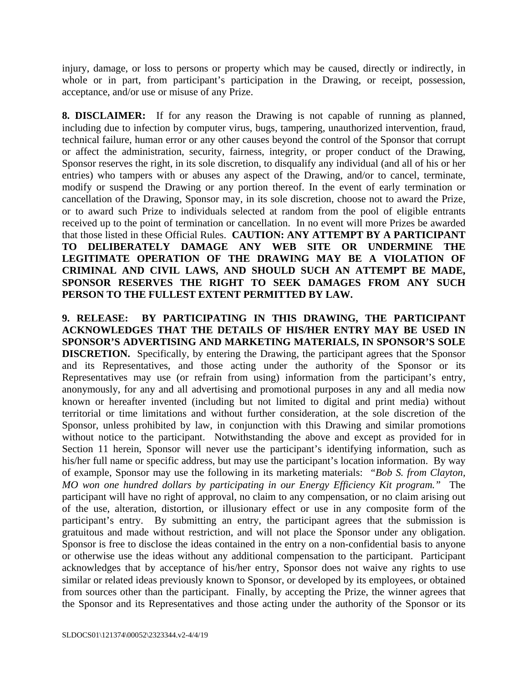injury, damage, or loss to persons or property which may be caused, directly or indirectly, in whole or in part, from participant's participation in the Drawing, or receipt, possession, acceptance, and/or use or misuse of any Prize.

**8. DISCLAIMER:** If for any reason the Drawing is not capable of running as planned, including due to infection by computer virus, bugs, tampering, unauthorized intervention, fraud, technical failure, human error or any other causes beyond the control of the Sponsor that corrupt or affect the administration, security, fairness, integrity, or proper conduct of the Drawing, Sponsor reserves the right, in its sole discretion, to disqualify any individual (and all of his or her entries) who tampers with or abuses any aspect of the Drawing, and/or to cancel, terminate, modify or suspend the Drawing or any portion thereof. In the event of early termination or cancellation of the Drawing, Sponsor may, in its sole discretion, choose not to award the Prize, or to award such Prize to individuals selected at random from the pool of eligible entrants received up to the point of termination or cancellation. In no event will more Prizes be awarded that those listed in these Official Rules. **CAUTION: ANY ATTEMPT BY A PARTICIPANT TO DELIBERATELY DAMAGE ANY WEB SITE OR UNDERMINE THE LEGITIMATE OPERATION OF THE DRAWING MAY BE A VIOLATION OF CRIMINAL AND CIVIL LAWS, AND SHOULD SUCH AN ATTEMPT BE MADE, SPONSOR RESERVES THE RIGHT TO SEEK DAMAGES FROM ANY SUCH PERSON TO THE FULLEST EXTENT PERMITTED BY LAW.** 

**9. RELEASE: BY PARTICIPATING IN THIS DRAWING, THE PARTICIPANT ACKNOWLEDGES THAT THE DETAILS OF HIS/HER ENTRY MAY BE USED IN SPONSOR'S ADVERTISING AND MARKETING MATERIALS, IN SPONSOR'S SOLE DISCRETION.** Specifically, by entering the Drawing, the participant agrees that the Sponsor and its Representatives, and those acting under the authority of the Sponsor or its Representatives may use (or refrain from using) information from the participant's entry, anonymously, for any and all advertising and promotional purposes in any and all media now known or hereafter invented (including but not limited to digital and print media) without territorial or time limitations and without further consideration, at the sole discretion of the Sponsor, unless prohibited by law, in conjunction with this Drawing and similar promotions without notice to the participant. Notwithstanding the above and except as provided for in Section 11 herein, Sponsor will never use the participant's identifying information, such as his/her full name or specific address, but may use the participant's location information. By way of example, Sponsor may use the following in its marketing materials: *"Bob S. from Clayton, MO won one hundred dollars by participating in our Energy Efficiency Kit program."* The participant will have no right of approval, no claim to any compensation, or no claim arising out of the use, alteration, distortion, or illusionary effect or use in any composite form of the participant's entry. By submitting an entry, the participant agrees that the submission is gratuitous and made without restriction, and will not place the Sponsor under any obligation. Sponsor is free to disclose the ideas contained in the entry on a non-confidential basis to anyone or otherwise use the ideas without any additional compensation to the participant. Participant acknowledges that by acceptance of his/her entry, Sponsor does not waive any rights to use similar or related ideas previously known to Sponsor, or developed by its employees, or obtained from sources other than the participant. Finally, by accepting the Prize, the winner agrees that the Sponsor and its Representatives and those acting under the authority of the Sponsor or its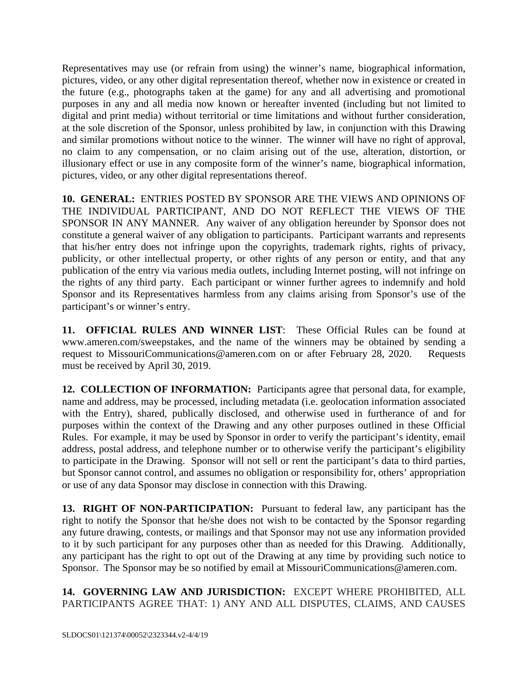Representatives may use (or refrain from using) the winner's name, biographical information, pictures, video, or any other digital representation thereof, whether now in existence or created in the future (e.g., photographs taken at the game) for any and all advertising and promotional purposes in any and all media now known or hereafter invented (including but not limited to digital and print media) without territorial or time limitations and without further consideration, at the sole discretion of the Sponsor, unless prohibited by law, in conjunction with this Drawing and similar promotions without notice to the winner. The winner will have no right of approval, no claim to any compensation, or no claim arising out of the use, alteration, distortion, or illusionary effect or use in any composite form of the winner's name, biographical information, pictures, video, or any other digital representations thereof.

**10. GENERAL:** ENTRIES POSTED BY SPONSOR ARE THE VIEWS AND OPINIONS OF THE INDIVIDUAL PARTICIPANT, AND DO NOT REFLECT THE VIEWS OF THE SPONSOR IN ANY MANNER. Any waiver of any obligation hereunder by Sponsor does not constitute a general waiver of any obligation to participants. Participant warrants and represents that his/her entry does not infringe upon the copyrights, trademark rights, rights of privacy, publicity, or other intellectual property, or other rights of any person or entity, and that any publication of the entry via various media outlets, including Internet posting, will not infringe on the rights of any third party. Each participant or winner further agrees to indemnify and hold Sponsor and its Representatives harmless from any claims arising from Sponsor's use of the participant's or winner's entry.

**11. OFFICIAL RULES AND WINNER LIST**: These Official Rules can be found at www.ameren.com/sweepstakes, and the name of the winners may be obtained by sending a request to MissouriCommunications@ameren.com on or after February 28, 2020. Requests must be received by April 30, 2019.

**12. COLLECTION OF INFORMATION:** Participants agree that personal data, for example, name and address, may be processed, including metadata (i.e. geolocation information associated with the Entry), shared, publically disclosed, and otherwise used in furtherance of and for purposes within the context of the Drawing and any other purposes outlined in these Official Rules. For example, it may be used by Sponsor in order to verify the participant's identity, email address, postal address, and telephone number or to otherwise verify the participant's eligibility to participate in the Drawing. Sponsor will not sell or rent the participant's data to third parties, but Sponsor cannot control, and assumes no obligation or responsibility for, others' appropriation or use of any data Sponsor may disclose in connection with this Drawing.

**13. RIGHT OF NON-PARTICIPATION:** Pursuant to federal law, any participant has the right to notify the Sponsor that he/she does not wish to be contacted by the Sponsor regarding any future drawing, contests, or mailings and that Sponsor may not use any information provided to it by such participant for any purposes other than as needed for this Drawing. Additionally, any participant has the right to opt out of the Drawing at any time by providing such notice to Sponsor. The Sponsor may be so notified by email at MissouriCommunications@ameren.com.

**14. GOVERNING LAW AND JURISDICTION:** EXCEPT WHERE PROHIBITED, ALL PARTICIPANTS AGREE THAT: 1) ANY AND ALL DISPUTES, CLAIMS, AND CAUSES